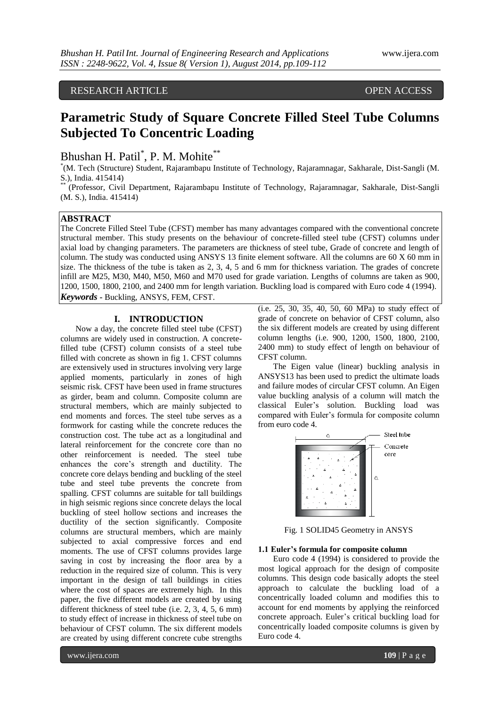# RESEARCH ARTICLE OPEN ACCESS

# **Parametric Study of Square Concrete Filled Steel Tube Columns Subjected To Concentric Loading**

Bhushan H. Patil<sup>\*</sup>, P. M. Mohite<sup>\*\*</sup>

\* (M. Tech (Structure) Student, Rajarambapu Institute of Technology, Rajaramnagar, Sakharale, Dist-Sangli (M. S.), India. 415414)

\*\* (Professor, Civil Department, Rajarambapu Institute of Technology, Rajaramnagar, Sakharale, Dist-Sangli (M. S.), India. 415414)

# **ABSTRACT**

The Concrete Filled Steel Tube (CFST) member has many advantages compared with the conventional concrete structural member. This study presents on the behaviour of concrete-filled steel tube (CFST) columns under axial load by changing parameters. The parameters are thickness of steel tube, Grade of concrete and length of column. The study was conducted using ANSYS 13 finite element software. All the columns are 60 X 60 mm in size. The thickness of the tube is taken as 2, 3, 4, 5 and 6 mm for thickness variation. The grades of concrete infill are M25, M30, M40, M50, M60 and M70 used for grade variation. Lengths of columns are taken as 900, 1200, 1500, 1800, 2100, and 2400 mm for length variation. Buckling load is compared with Euro code 4 (1994). *Keywords* **-** Buckling, ANSYS, FEM, CFST.

# **I. INTRODUCTION**

Now a day, the concrete filled steel tube (CFST) columns are widely used in construction. A concretefilled tube (CFST) column consists of a steel tube filled with concrete as shown in fig 1. CFST columns are extensively used in structures involving very large applied moments, particularly in zones of high seismic risk. CFST have been used in frame structures as girder, beam and column. Composite column are structural members, which are mainly subjected to end moments and forces. The steel tube serves as a formwork for casting while the concrete reduces the construction cost. The tube act as a longitudinal and lateral reinforcement for the concrete core than no other reinforcement is needed. The steel tube enhances the core's strength and ductility. The concrete core delays bending and buckling of the steel tube and steel tube prevents the concrete from spalling. CFST columns are suitable for tall buildings in high seismic regions since concrete delays the local buckling of steel hollow sections and increases the ductility of the section significantly. Composite columns are structural members, which are mainly subjected to axial compressive forces and end moments. The use of CFST columns provides large saving in cost by increasing the floor area by a reduction in the required size of column. This is very important in the design of tall buildings in cities where the cost of spaces are extremely high. In this paper, the five different models are created by using different thickness of steel tube (i.e. 2, 3, 4, 5, 6 mm) to study effect of increase in thickness of steel tube on behaviour of CFST column. The six different models are created by using different concrete cube strengths

(i.e. 25, 30, 35, 40, 50, 60 MPa) to study effect of grade of concrete on behavior of CFST column, also the six different models are created by using different column lengths (i.e. 900, 1200, 1500, 1800, 2100, 2400 mm) to study effect of length on behaviour of CFST column.

The Eigen value (linear) buckling analysis in ANSYS13 has been used to predict the ultimate loads and failure modes of circular CFST column. An Eigen value buckling analysis of a column will match the classical Euler's solution. Buckling load was compared with Euler's formula for composite column from euro code 4.



Fig. 1 SOLID45 Geometry in ANSYS

# **1.1 Euler's formula for composite column**

Euro code 4 (1994) is considered to provide the most logical approach for the design of composite columns. This design code basically adopts the steel approach to calculate the buckling load of a concentrically loaded column and modifies this to account for end moments by applying the reinforced concrete approach. Euler's critical buckling load for concentrically loaded composite columns is given by Euro code 4.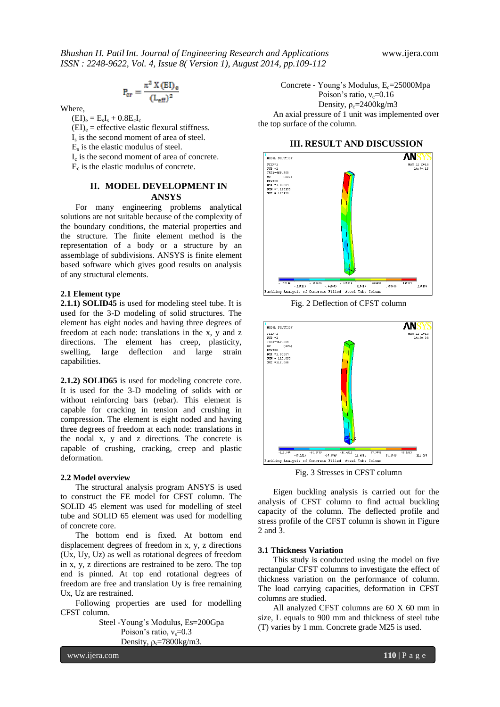$$
P_{cr} = \frac{\pi^2 X (EI)_{\text{e}}}{(L_{\text{eff}})^2}
$$

Where,

 $(EI)_e = E_sI_s + 0.8E_cI_c$  $(EI)_{e}$  = effective elastic flexural stiffness.

Is is the second moment of area of steel.

 $E<sub>s</sub>$  is the elastic modulus of steel.

Ic is the second moment of area of concrete.

Ec is the elastic modulus of concrete.

# **II. MODEL DEVELOPMENT IN ANSYS**

For many engineering problems analytical solutions are not suitable because of the complexity of the boundary conditions, the material properties and the structure. The finite element method is the representation of a body or a structure by an assemblage of subdivisions. ANSYS is finite element based software which gives good results on analysis of any structural elements.

## **2.1 Element type**

**2.1.1) SOLID45** is used for modeling steel tube. It is used for the 3-D modeling of solid structures. The element has eight nodes and having three degrees of freedom at each node: translations in the x, y and z directions. The element has creep, plasticity, swelling, large deflection and large strain capabilities.

**2.1.2) SOLID65** is used for modeling concrete core. It is used for the 3-D modeling of solids with or without reinforcing bars (rebar). This element is capable for cracking in tension and crushing in compression. The element is eight noded and having three degrees of freedom at each node: translations in the nodal x, y and z directions. The concrete is capable of crushing, cracking, creep and plastic deformation.

#### **2.2 Model overview**

The structural analysis program ANSYS is used to construct the FE model for CFST column. The SOLID 45 element was used for modelling of steel tube and SOLID 65 element was used for modelling of concrete core.

The bottom end is fixed. At bottom end displacement degrees of freedom in x, y, z directions (Ux, Uy, Uz) as well as rotational degrees of freedom in x, y, z directions are restrained to be zero. The top end is pinned. At top end rotational degrees of freedom are free and translation Uy is free remaining Ux, Uz are restrained.

Following properties are used for modelling CFST column.

> Steel -Young's Modulus, Es=200Gpa Poison's ratio,  $v_s = 0.3$ Density,  $\rho_s = 7800 \text{kg/m}$ 3.

Concrete - Young's Modulus, E<sub>c</sub>=25000Mpa Poison's ratio,  $v_c$ =0.16 Density,  $\rho_c = 2400 \text{kg/m}3$ An axial pressure of 1 unit was implemented over the top surface of the column.

### **III. RESULT AND DISCUSSION**



Fig. 2 Deflection of CFST column



Fig. 3 Stresses in CFST column

Eigen buckling analysis is carried out for the analysis of CFST column to find actual buckling capacity of the column. The deflected profile and stress profile of the CFST column is shown in Figure 2 and 3.

## **3.1 Thickness Variation**

This study is conducted using the model on five rectangular CFST columns to investigate the effect of thickness variation on the performance of column. The load carrying capacities, deformation in CFST columns are studied.

All analyzed CFST columns are 60 X 60 mm in size, L equals to 900 mm and thickness of steel tube (T) varies by 1 mm. Concrete grade M25 is used.

www.ijera.com **110** | P a g e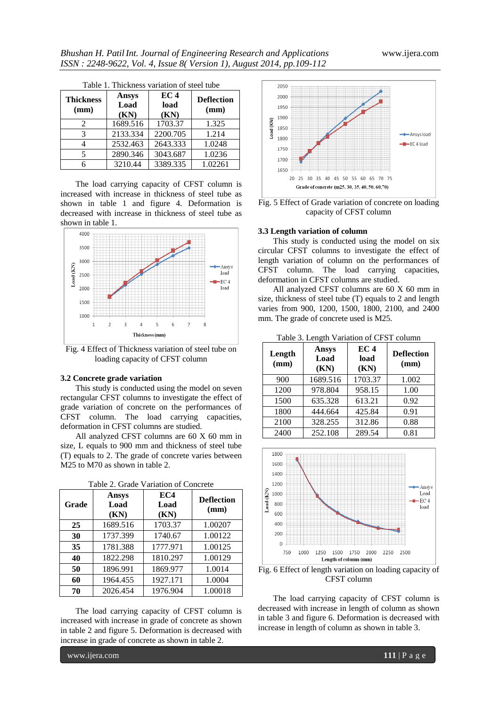| Table 1. Thickness variation of steel tube |                              |                                 |                           |  |
|--------------------------------------------|------------------------------|---------------------------------|---------------------------|--|
| <b>Thickness</b><br>(mm)                   | <b>Ansys</b><br>Load<br>(KN) | EC <sub>4</sub><br>load<br>(KN) | <b>Deflection</b><br>(mm) |  |
| 2                                          | 1689.516                     | 1703.37                         | 1.325                     |  |
| 3                                          | 2133.334                     | 2200.705                        | 1.214                     |  |
| 4                                          | 2532.463                     | 2643.333                        | 1.0248                    |  |
| 5                                          | 2890.346                     | 3043.687                        | 1.0236                    |  |
| 6                                          | 3210.44                      | 3389.335                        | 1.02261                   |  |

| Table 1. Thickness variation of steel tube |  |  |
|--------------------------------------------|--|--|
|                                            |  |  |

The load carrying capacity of CFST column is increased with increase in thickness of steel tube as shown in table 1 and figure 4. Deformation is decreased with increase in thickness of steel tube as shown in table 1.



Fig. 4 Effect of Thickness variation of steel tube on loading capacity of CFST column

#### **3.2 Concrete grade variation**

This study is conducted using the model on seven rectangular CFST columns to investigate the effect of grade variation of concrete on the performances of CFST column. The load carrying capacities, deformation in CFST columns are studied.

All analyzed CFST columns are 60 X 60 mm in size, L equals to 900 mm and thickness of steel tube (T) equals to 2. The grade of concrete varies between M<sub>25</sub> to M<sub>70</sub> as shown in table 2.

| Grade | <b>Ansys</b><br>Load<br>(KN) | EC4<br>Load<br>(KN) | <b>Deflection</b><br>(mm) |
|-------|------------------------------|---------------------|---------------------------|
| 25    | 1689.516                     | 1703.37             | 1.00207                   |
| 30    | 1737.399                     | 1740.67             | 1.00122                   |
| 35    | 1781.388                     | 1777.971            | 1.00125                   |
| 40    | 1822.298                     | 1810.297            | 1.00129                   |
| 50    | 1896.991                     | 1869.977            | 1.0014                    |
| 60    | 1964.455                     | 1927.171            | 1.0004                    |
| 70    | 2026.454                     | 1976.904            | 1.00018                   |

Table 2. Grade Variation of Concrete

The load carrying capacity of CFST column is increased with increase in grade of concrete as shown in table 2 and figure 5. Deformation is decreased with increase in grade of concrete as shown in table 2.



Fig. 5 Effect of Grade variation of concrete on loading capacity of CFST column

#### **3.3 Length variation of column**

This study is conducted using the model on six circular CFST columns to investigate the effect of length variation of column on the performances of CFST column. The load carrying capacities, deformation in CFST columns are studied.

All analyzed CFST columns are 60 X 60 mm in size, thickness of steel tube (T) equals to 2 and length varies from 900, 1200, 1500, 1800, 2100, and 2400 mm. The grade of concrete used is M25.

Table 3. Length Variation of CFST column

| Length<br>(mm) | <b>Ansys</b><br>Load<br>(KN) | EC 4<br>load<br>(KN) | <b>Deflection</b><br>(mm) |
|----------------|------------------------------|----------------------|---------------------------|
| 900            | 1689.516                     | 1703.37              | 1.002                     |
| 1200           | 978.804                      | 958.15               | 1.00                      |
| 1500           | 635.328                      | 613.21               | 0.92                      |
| 1800           | 444.664                      | 425.84               | 0.91                      |
| 2100           | 328.255                      | 312.86               | 0.88                      |
| 2400           | 252.108                      | 289.54               | 0.81                      |



Fig. 6 Effect of length variation on loading capacity of CFST column

The load carrying capacity of CFST column is decreased with increase in length of column as shown in table 3 and figure 6. Deformation is decreased with increase in length of column as shown in table 3.

www.ijera.com **111** | P a g e